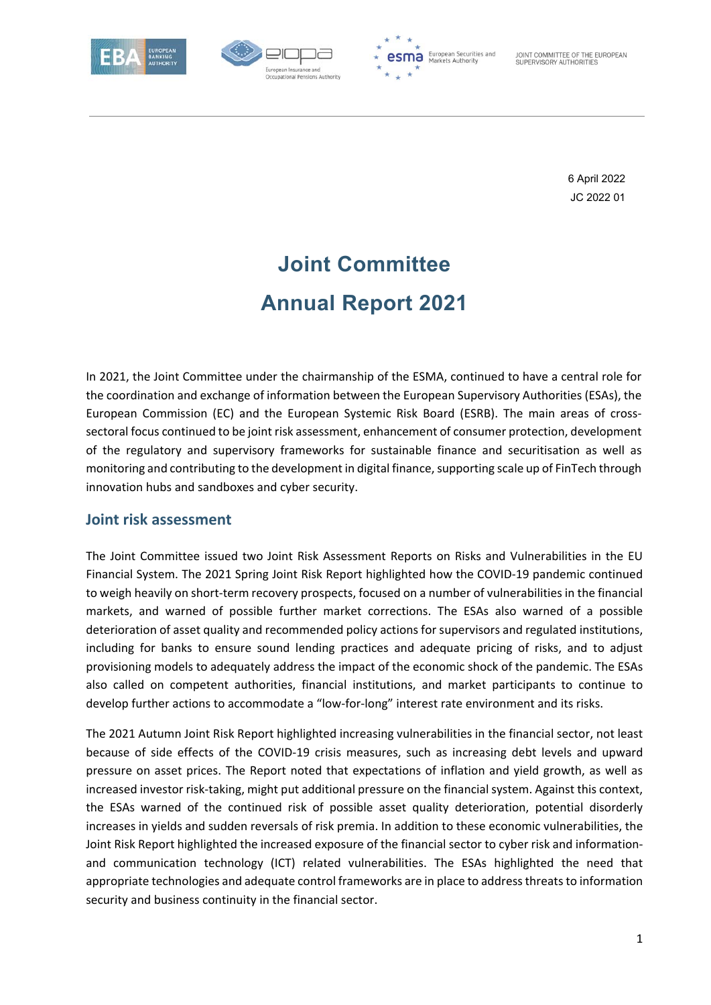





JOINT COMMITTEE OF THE EUROPEAN SUPERVISORY AUTHORITIES

> 6 April 2022 JC 2022 01

# **Joint Committee Annual Report 2021**

In 2021, the Joint Committee under the chairmanship of the ESMA, continued to have a central role for the coordination and exchange of information between the European Supervisory Authorities (ESAs), the European Commission (EC) and the European Systemic Risk Board (ESRB). The main areas of crosssectoral focus continued to be joint risk assessment, enhancement of consumer protection, development of the regulatory and supervisory frameworks for sustainable finance and securitisation as well as monitoring and contributing to the development in digital finance, supporting scale up of FinTech through innovation hubs and sandboxes and cyber security.

#### **Joint risk assessment**

The Joint Committee issued two Joint Risk Assessment Reports on Risks and Vulnerabilities in the EU Financial System. The 2021 Spring Joint Risk Report highlighted how the COVID‐19 pandemic continued to weigh heavily on short‐term recovery prospects, focused on a number of vulnerabilities in the financial markets, and warned of possible further market corrections. The ESAs also warned of a possible deterioration of asset quality and recommended policy actions for supervisors and regulated institutions, including for banks to ensure sound lending practices and adequate pricing of risks, and to adjust provisioning models to adequately address the impact of the economic shock of the pandemic. The ESAs also called on competent authorities, financial institutions, and market participants to continue to develop further actions to accommodate a "low‐for‐long" interest rate environment and its risks.

The 2021 Autumn Joint Risk Report highlighted increasing vulnerabilities in the financial sector, not least because of side effects of the COVID‐19 crisis measures, such as increasing debt levels and upward pressure on asset prices. The Report noted that expectations of inflation and yield growth, as well as increased investor risk‐taking, might put additional pressure on the financial system. Against this context, the ESAs warned of the continued risk of possible asset quality deterioration, potential disorderly increases in yields and sudden reversals of risk premia. In addition to these economic vulnerabilities, the Joint Risk Report highlighted the increased exposure of the financial sector to cyber risk and information‐ and communication technology (ICT) related vulnerabilities. The ESAs highlighted the need that appropriate technologies and adequate control frameworks are in place to address threats to information security and business continuity in the financial sector.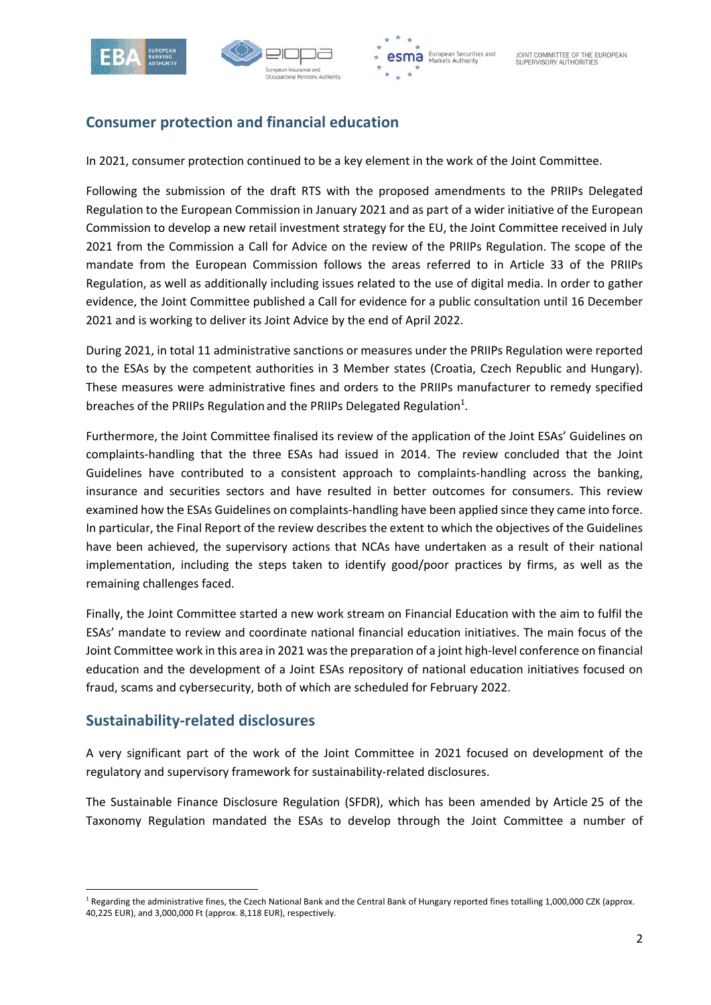





# **Consumer protection and financial education**

In 2021, consumer protection continued to be a key element in the work of the Joint Committee.

Following the submission of the draft RTS with the proposed amendments to the PRIIPs Delegated Regulation to the European Commission in January 2021 and as part of a wider initiative of the European Commission to develop a new retail investment strategy for the EU, the Joint Committee received in July 2021 from the Commission a Call for Advice on the review of the PRIIPs Regulation. The scope of the mandate from the European Commission follows the areas referred to in Article 33 of the PRIIPs Regulation, as well as additionally including issues related to the use of digital media. In order to gather evidence, the Joint Committee published a Call for evidence for a public consultation until 16 December 2021 and is working to deliver its Joint Advice by the end of April 2022.

During 2021, in total 11 administrative sanctions or measures under the PRIIPs Regulation were reported to the ESAs by the competent authorities in 3 Member states (Croatia, Czech Republic and Hungary). These measures were administrative fines and orders to the PRIIPs manufacturer to remedy specified breaches of the PRIIPs Regulation and the PRIIPs Delegated Regulation<sup>1</sup>.

Furthermore, the Joint Committee finalised its review of the application of the Joint ESAs' Guidelines on complaints-handling that the three ESAs had issued in 2014. The review concluded that the Joint Guidelines have contributed to a consistent approach to complaints-handling across the banking, insurance and securities sectors and have resulted in better outcomes for consumers. This review examined how the ESAs Guidelines on complaints‐handling have been applied since they came into force. In particular, the Final Report of the review describes the extent to which the objectives of the Guidelines have been achieved, the supervisory actions that NCAs have undertaken as a result of their national implementation, including the steps taken to identify good/poor practices by firms, as well as the remaining challenges faced.

Finally, the Joint Committee started a new work stream on Financial Education with the aim to fulfil the ESAs' mandate to review and coordinate national financial education initiatives. The main focus of the Joint Committee work in this area in 2021 was the preparation of a joint high‐level conference on financial education and the development of a Joint ESAs repository of national education initiatives focused on fraud, scams and cybersecurity, both of which are scheduled for February 2022.

#### **Sustainability‐related disclosures**

A very significant part of the work of the Joint Committee in 2021 focused on development of the regulatory and supervisory framework for sustainability‐related disclosures.

The Sustainable Finance Disclosure Regulation (SFDR), which has been amended by Article 25 of the Taxonomy Regulation mandated the ESAs to develop through the Joint Committee a number of

<sup>&</sup>lt;sup>1</sup> Regarding the administrative fines, the Czech National Bank and the Central Bank of Hungary reported fines totalling 1,000,000 CZK (approx. 40,225 EUR), and 3,000,000 Ft (approx. 8,118 EUR), respectively.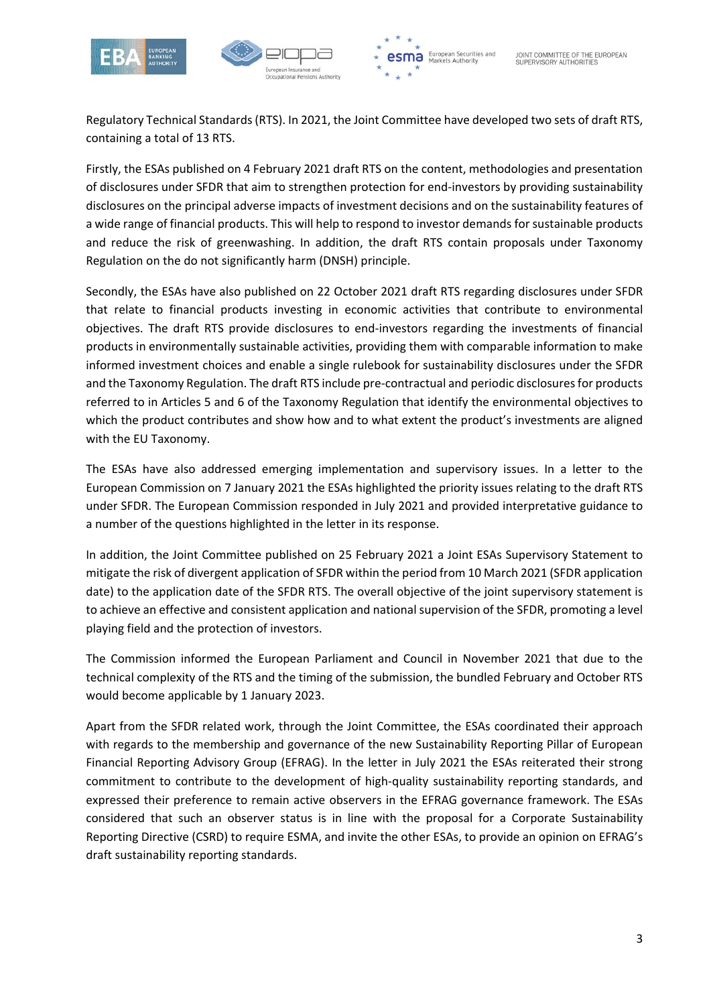





Regulatory Technical Standards (RTS). In 2021, the Joint Committee have developed two sets of draft RTS, containing a total of 13 RTS.

Firstly, the ESAs published on 4 February 2021 draft RTS on the content, methodologies and presentation of disclosures under SFDR that aim to strengthen protection for end‐investors by providing sustainability disclosures on the principal adverse impacts of investment decisions and on the sustainability features of a wide range of financial products. This will help to respond to investor demands for sustainable products and reduce the risk of greenwashing. In addition, the draft RTS contain proposals under Taxonomy Regulation on the do not significantly harm (DNSH) principle.

Secondly, the ESAs have also published on 22 October 2021 draft RTS regarding disclosures under SFDR that relate to financial products investing in economic activities that contribute to environmental objectives. The draft RTS provide disclosures to end‐investors regarding the investments of financial products in environmentally sustainable activities, providing them with comparable information to make informed investment choices and enable a single rulebook for sustainability disclosures under the SFDR and the Taxonomy Regulation. The draft RTS include pre‐contractual and periodic disclosures for products referred to in Articles 5 and 6 of the Taxonomy Regulation that identify the environmental objectives to which the product contributes and show how and to what extent the product's investments are aligned with the EU Taxonomy.

The ESAs have also addressed emerging implementation and supervisory issues. In a letter to the European Commission on 7 January 2021 the ESAs highlighted the priority issues relating to the draft RTS under SFDR. The European Commission responded in July 2021 and provided interpretative guidance to a number of the questions highlighted in the letter in its response.

In addition, the Joint Committee published on 25 February 2021 a Joint ESAs Supervisory Statement to mitigate the risk of divergent application of SFDR within the period from 10 March 2021 (SFDR application date) to the application date of the SFDR RTS. The overall objective of the joint supervisory statement is to achieve an effective and consistent application and national supervision of the SFDR, promoting a level playing field and the protection of investors.

The Commission informed the European Parliament and Council in November 2021 that due to the technical complexity of the RTS and the timing of the submission, the bundled February and October RTS would become applicable by 1 January 2023.

Apart from the SFDR related work, through the Joint Committee, the ESAs coordinated their approach with regards to the membership and governance of the new Sustainability Reporting Pillar of European Financial Reporting Advisory Group (EFRAG). In the letter in July 2021 the ESAs reiterated their strong commitment to contribute to the development of high-quality sustainability reporting standards, and expressed their preference to remain active observers in the EFRAG governance framework. The ESAs considered that such an observer status is in line with the proposal for a Corporate Sustainability Reporting Directive (CSRD) to require ESMA, and invite the other ESAs, to provide an opinion on EFRAG's draft sustainability reporting standards.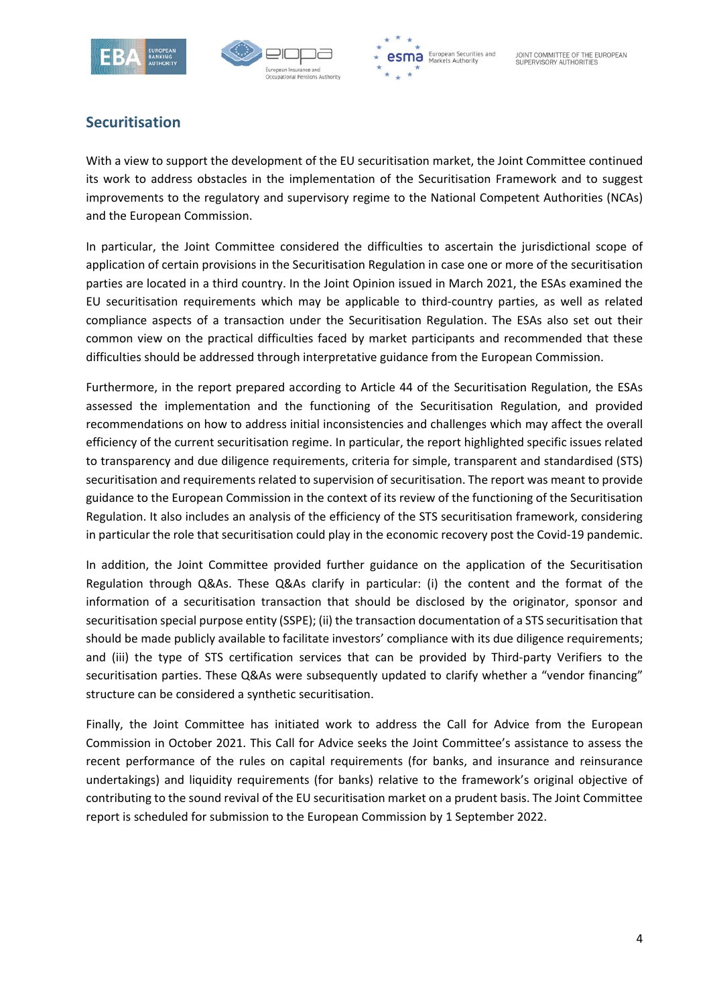



**esma** European Securities and

## **Securitisation**

With a view to support the development of the EU securitisation market, the Joint Committee continued its work to address obstacles in the implementation of the Securitisation Framework and to suggest improvements to the regulatory and supervisory regime to the National Competent Authorities (NCAs) and the European Commission.

In particular, the Joint Committee considered the difficulties to ascertain the jurisdictional scope of application of certain provisions in the Securitisation Regulation in case one or more of the securitisation parties are located in a third country. In the Joint Opinion issued in March 2021, the ESAs examined the EU securitisation requirements which may be applicable to third‐country parties, as well as related compliance aspects of a transaction under the Securitisation Regulation. The ESAs also set out their common view on the practical difficulties faced by market participants and recommended that these difficulties should be addressed through interpretative guidance from the European Commission.

Furthermore, in the report prepared according to Article 44 of the Securitisation Regulation, the ESAs assessed the implementation and the functioning of the Securitisation Regulation, and provided recommendations on how to address initial inconsistencies and challenges which may affect the overall efficiency of the current securitisation regime. In particular, the report highlighted specific issues related to transparency and due diligence requirements, criteria for simple, transparent and standardised (STS) securitisation and requirements related to supervision of securitisation. The report was meant to provide guidance to the European Commission in the context of its review of the functioning of the Securitisation Regulation. It also includes an analysis of the efficiency of the STS securitisation framework, considering in particular the role that securitisation could play in the economic recovery post the Covid‐19 pandemic.

In addition, the Joint Committee provided further guidance on the application of the Securitisation Regulation through Q&As. These Q&As clarify in particular: (i) the content and the format of the information of a securitisation transaction that should be disclosed by the originator, sponsor and securitisation special purpose entity (SSPE); (ii) the transaction documentation of a STS securitisation that should be made publicly available to facilitate investors' compliance with its due diligence requirements; and (iii) the type of STS certification services that can be provided by Third-party Verifiers to the securitisation parties. These Q&As were subsequently updated to clarify whether a "vendor financing" structure can be considered a synthetic securitisation.

Finally, the Joint Committee has initiated work to address the Call for Advice from the European Commission in October 2021. This Call for Advice seeks the Joint Committee's assistance to assess the recent performance of the rules on capital requirements (for banks, and insurance and reinsurance undertakings) and liquidity requirements (for banks) relative to the framework's original objective of contributing to the sound revival of the EU securitisation market on a prudent basis. The Joint Committee report is scheduled for submission to the European Commission by 1 September 2022.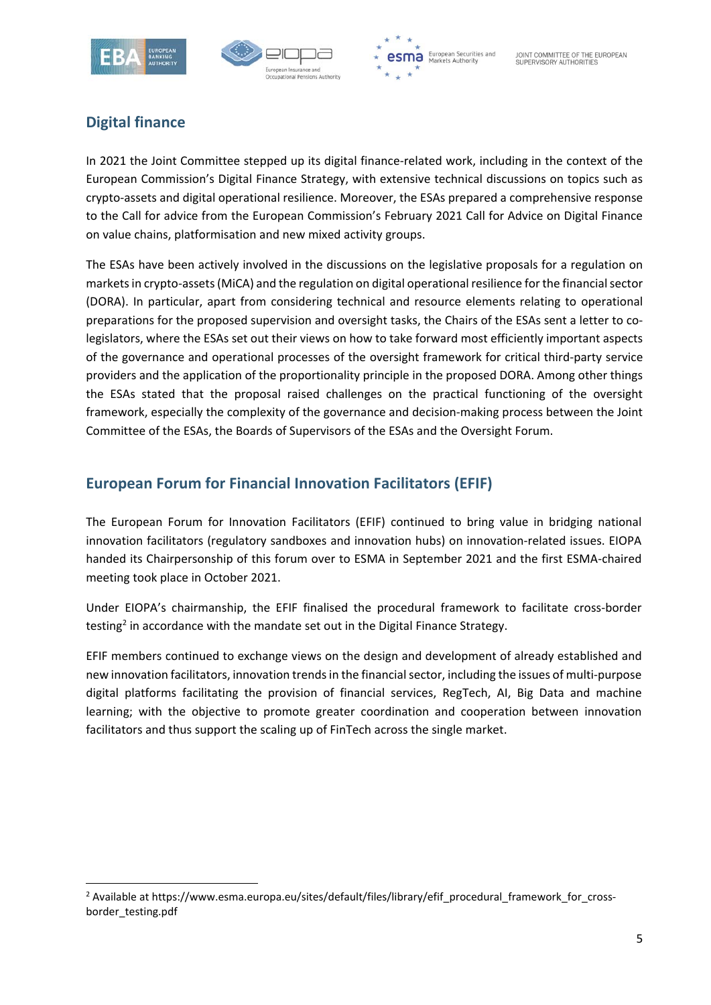





# **Digital finance**

In 2021 the Joint Committee stepped up its digital finance-related work, including in the context of the European Commission's Digital Finance Strategy, with extensive technical discussions on topics such as crypto‐assets and digital operational resilience. Moreover, the ESAs prepared a comprehensive response to the Call for advice from the European Commission's February 2021 Call for Advice on Digital Finance on value chains, platformisation and new mixed activity groups.

The ESAs have been actively involved in the discussions on the legislative proposals for a regulation on markets in crypto‐assets (MiCA) and the regulation on digital operational resilience for the financial sector (DORA). In particular, apart from considering technical and resource elements relating to operational preparations for the proposed supervision and oversight tasks, the Chairs of the ESAs sent a letter to co‐ legislators, where the ESAs set out their views on how to take forward most efficiently important aspects of the governance and operational processes of the oversight framework for critical third‐party service providers and the application of the proportionality principle in the proposed DORA. Among other things the ESAs stated that the proposal raised challenges on the practical functioning of the oversight framework, especially the complexity of the governance and decision‐making process between the Joint Committee of the ESAs, the Boards of Supervisors of the ESAs and the Oversight Forum.

## **European Forum for Financial Innovation Facilitators (EFIF)**

The European Forum for Innovation Facilitators (EFIF) continued to bring value in bridging national innovation facilitators (regulatory sandboxes and innovation hubs) on innovation-related issues. EIOPA handed its Chairpersonship of this forum over to ESMA in September 2021 and the first ESMA‐chaired meeting took place in October 2021.

Under EIOPA's chairmanship, the EFIF finalised the procedural framework to facilitate cross‐border testing<sup>2</sup> in accordance with the mandate set out in the Digital Finance Strategy.

EFIF members continued to exchange views on the design and development of already established and new innovation facilitators, innovation trends in the financial sector, including the issues of multi‐purpose digital platforms facilitating the provision of financial services, RegTech, AI, Big Data and machine learning; with the objective to promote greater coordination and cooperation between innovation facilitators and thus support the scaling up of FinTech across the single market.

<sup>&</sup>lt;sup>2</sup> Available at https://www.esma.europa.eu/sites/default/files/library/efif\_procedural\_framework\_for\_crossborder\_testing.pdf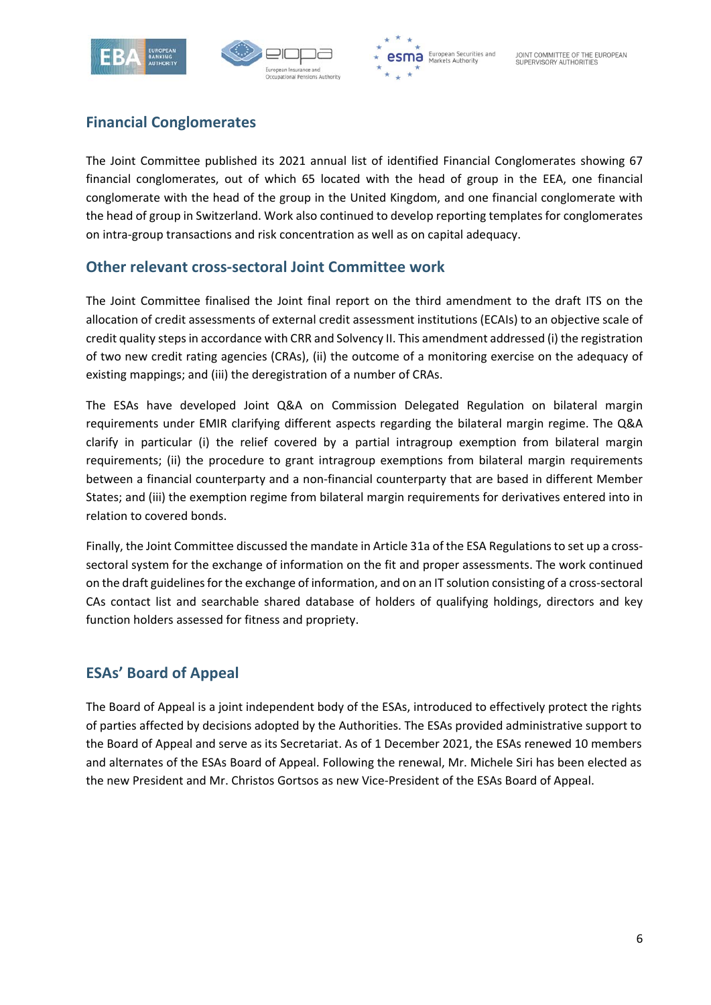





# **Financial Conglomerates**

The Joint Committee published its 2021 annual list of identified Financial Conglomerates showing 67 financial conglomerates, out of which 65 located with the head of group in the EEA, one financial conglomerate with the head of the group in the United Kingdom, and one financial conglomerate with the head of group in Switzerland. Work also continued to develop reporting templates for conglomerates on intra‐group transactions and risk concentration as well as on capital adequacy.

#### **Other relevant cross‐sectoral Joint Committee work**

The Joint Committee finalised the Joint final report on the third amendment to the draft ITS on the allocation of credit assessments of external credit assessment institutions (ECAIs) to an objective scale of credit quality steps in accordance with CRR and Solvency II. This amendment addressed (i) the registration of two new credit rating agencies (CRAs), (ii) the outcome of a monitoring exercise on the adequacy of existing mappings; and (iii) the deregistration of a number of CRAs.

The ESAs have developed Joint Q&A on Commission Delegated Regulation on bilateral margin requirements under EMIR clarifying different aspects regarding the bilateral margin regime. The Q&A clarify in particular (i) the relief covered by a partial intragroup exemption from bilateral margin requirements; (ii) the procedure to grant intragroup exemptions from bilateral margin requirements between a financial counterparty and a non-financial counterparty that are based in different Member States; and (iii) the exemption regime from bilateral margin requirements for derivatives entered into in relation to covered bonds.

Finally, the Joint Committee discussed the mandate in Article 31a of the ESA Regulations to set up a cross‐ sectoral system for the exchange of information on the fit and proper assessments. The work continued on the draft guidelines for the exchange of information, and on an IT solution consisting of a cross‐sectoral CAs contact list and searchable shared database of holders of qualifying holdings, directors and key function holders assessed for fitness and propriety.

## **ESAs' Board of Appeal**

The Board of Appeal is a joint independent body of the ESAs, introduced to effectively protect the rights of parties affected by decisions adopted by the Authorities. The ESAs provided administrative support to the Board of Appeal and serve as its Secretariat. As of 1 December 2021, the ESAs renewed 10 members and alternates of the ESAs Board of Appeal. Following the renewal, Mr. Michele Siri has been elected as the new President and Mr. Christos Gortsos as new Vice-President of the ESAs Board of Appeal.